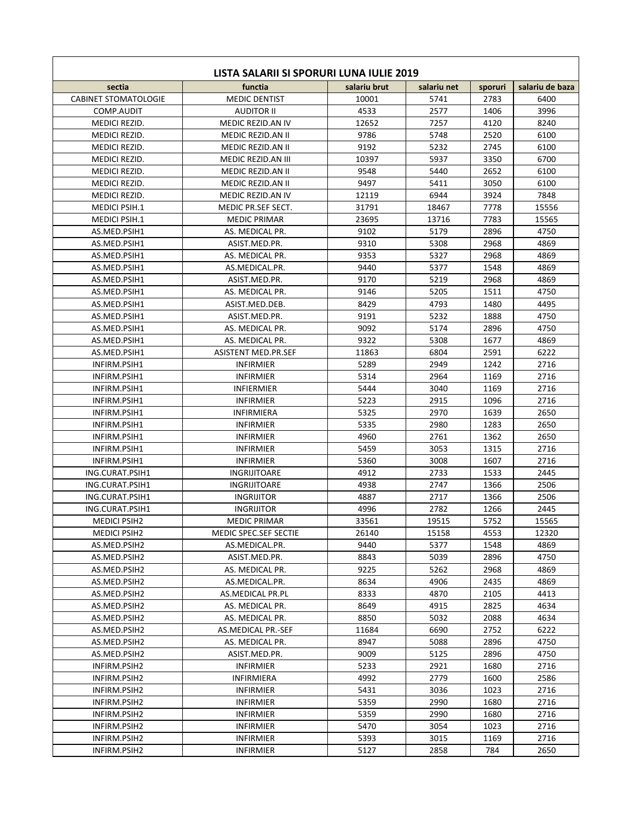| LISTA SALARII SI SPORURI LUNA IULIE 2019 |                            |              |             |         |                 |
|------------------------------------------|----------------------------|--------------|-------------|---------|-----------------|
| sectia                                   | functia                    | salariu brut | salariu net | sporuri | salariu de baza |
| <b>CABINET STOMATOLOGIE</b>              | <b>MEDIC DENTIST</b>       | 10001        | 5741        | 2783    | 6400            |
| COMP.AUDIT                               | <b>AUDITOR II</b>          | 4533         | 2577        | 1406    | 3996            |
| MEDICI REZID.                            | MEDIC REZID.AN IV          | 12652        | 7257        | 4120    | 8240            |
| MEDICI REZID.                            | MEDIC REZID.AN II          | 9786         | 5748        | 2520    | 6100            |
| MEDICI REZID.                            | MEDIC REZID.AN II          | 9192         | 5232        | 2745    | 6100            |
| MEDICI REZID.                            | MEDIC REZID.AN III         | 10397        | 5937        | 3350    | 6700            |
| MEDICI REZID.                            | MEDIC REZID.AN II          | 9548         | 5440        | 2652    | 6100            |
| MEDICI REZID.                            | MEDIC REZID.AN II          | 9497         | 5411        | 3050    | 6100            |
| MEDICI REZID.                            | MEDIC REZID.AN IV          | 12119        | 6944        | 3924    | 7848            |
| <b>MEDICI PSIH.1</b>                     | MEDIC PR.SEF SECT.         | 31791        | 18467       | 7778    | 15556           |
| <b>MEDICI PSIH.1</b>                     | <b>MEDIC PRIMAR</b>        | 23695        | 13716       | 7783    | 15565           |
| AS.MED.PSIH1                             | AS. MEDICAL PR.            | 9102         | 5179        | 2896    | 4750            |
| AS.MED.PSIH1                             | ASIST.MED.PR.              | 9310         | 5308        | 2968    | 4869            |
| AS.MED.PSIH1                             | AS. MEDICAL PR.            | 9353         | 5327        | 2968    | 4869            |
| AS.MED.PSIH1                             | AS.MEDICAL.PR.             | 9440         | 5377        | 1548    | 4869            |
| AS.MED.PSIH1                             | ASIST.MED.PR.              | 9170         | 5219        | 2968    | 4869            |
| AS.MED.PSIH1                             | AS. MEDICAL PR.            | 9146         | 5205        | 1511    | 4750            |
| AS.MED.PSIH1                             | ASIST.MED.DEB.             | 8429         | 4793        | 1480    | 4495            |
| AS.MED.PSIH1                             | ASIST.MED.PR.              | 9191         | 5232        | 1888    | 4750            |
| AS.MED.PSIH1                             | AS. MEDICAL PR.            | 9092         | 5174        | 2896    | 4750            |
| AS.MED.PSIH1                             | AS. MEDICAL PR.            | 9322         | 5308        | 1677    | 4869            |
| AS.MED.PSIH1                             | <b>ASISTENT MED.PR.SEF</b> | 11863        | 6804        | 2591    | 6222            |
| INFIRM.PSIH1                             | <b>INFIRMIER</b>           | 5289         | 2949        | 1242    | 2716            |
|                                          |                            |              |             |         |                 |
| INFIRM.PSIH1                             | <b>INFIRMIER</b>           | 5314         | 2964        | 1169    | 2716            |
| INFIRM.PSIH1                             | <b>INFIERMIER</b>          | 5444         | 3040        | 1169    | 2716            |
| INFIRM.PSIH1                             | <b>INFIRMIER</b>           | 5223         | 2915        | 1096    | 2716            |
| INFIRM.PSIH1                             | INFIRMIERA                 | 5325         | 2970        | 1639    | 2650            |
| INFIRM.PSIH1                             | <b>INFIRMIER</b>           | 5335         | 2980        | 1283    | 2650            |
| INFIRM.PSIH1                             | <b>INFIRMIER</b>           | 4960         | 2761        | 1362    | 2650            |
| INFIRM.PSIH1                             | <b>INFIRMIER</b>           | 5459         | 3053        | 1315    | 2716            |
| INFIRM.PSIH1                             | <b>INFIRMIER</b>           | 5360         | 3008        | 1607    | 2716            |
| ING.CURAT.PSIH1                          | INGRIJITOARE               | 4912         | 2733        | 1533    | 2445            |
| ING.CURAT.PSIH1                          | INGRIJITOARE               | 4938         | 2747        | 1366    | 2506            |
| ING.CURAT.PSIH1                          | <b>INGRIJITOR</b>          | 4887         | 2717        | 1366    | 2506            |
| ING.CURAT.PSIH1                          | <b>INGRIJITOR</b>          | 4996         | 2782        | 1266    | 2445            |
| <b>MEDICI PSIH2</b>                      | <b>MEDIC PRIMAR</b>        | 33561        | 19515       | 5752    | 15565           |
| <b>MEDICI PSIH2</b>                      | MEDIC SPEC.SEF SECTIE      | 26140        | 15158       | 4553    | 12320           |
| AS.MED.PSIH2                             | AS.MEDICAL.PR.             | 9440         | 5377        | 1548    | 4869            |
| AS.MED.PSIH2                             | ASIST.MED.PR.              | 8843         | 5039        | 2896    | 4750            |
| AS.MED.PSIH2                             | AS. MEDICAL PR.            | 9225         | 5262        | 2968    | 4869            |
| AS.MED.PSIH2                             | AS.MEDICAL.PR.             | 8634         | 4906        | 2435    | 4869            |
| AS.MED.PSIH2                             | AS.MEDICAL PR.PL           | 8333         | 4870        | 2105    | 4413            |
| AS.MED.PSIH2                             | AS. MEDICAL PR.            | 8649         | 4915        | 2825    | 4634            |
| AS.MED.PSIH2                             | AS. MEDICAL PR.            | 8850         | 5032        | 2088    | 4634            |
| AS.MED.PSIH2                             | AS.MEDICAL PR.-SEF         | 11684        | 6690        | 2752    | 6222            |
| AS.MED.PSIH2                             | AS. MEDICAL PR.            | 8947         | 5088        | 2896    | 4750            |
| AS.MED.PSIH2                             | ASIST.MED.PR.              | 9009         | 5125        | 2896    | 4750            |
| INFIRM.PSIH2                             | <b>INFIRMIER</b>           | 5233         | 2921        | 1680    | 2716            |
| INFIRM.PSIH2                             | <b>INFIRMIERA</b>          | 4992         | 2779        | 1600    | 2586            |
| INFIRM.PSIH2                             | <b>INFIRMIER</b>           | 5431         | 3036        | 1023    | 2716            |
| INFIRM.PSIH2                             | <b>INFIRMIER</b>           | 5359         | 2990        | 1680    | 2716            |
| INFIRM.PSIH2                             | <b>INFIRMIER</b>           | 5359         | 2990        | 1680    | 2716            |
| INFIRM.PSIH2                             | <b>INFIRMIER</b>           | 5470         | 3054        | 1023    | 2716            |
| INFIRM.PSIH2                             | <b>INFIRMIER</b>           | 5393         | 3015        | 1169    | 2716            |
| INFIRM.PSIH2                             | <b>INFIRMIER</b>           | 5127         | 2858        | 784     | 2650            |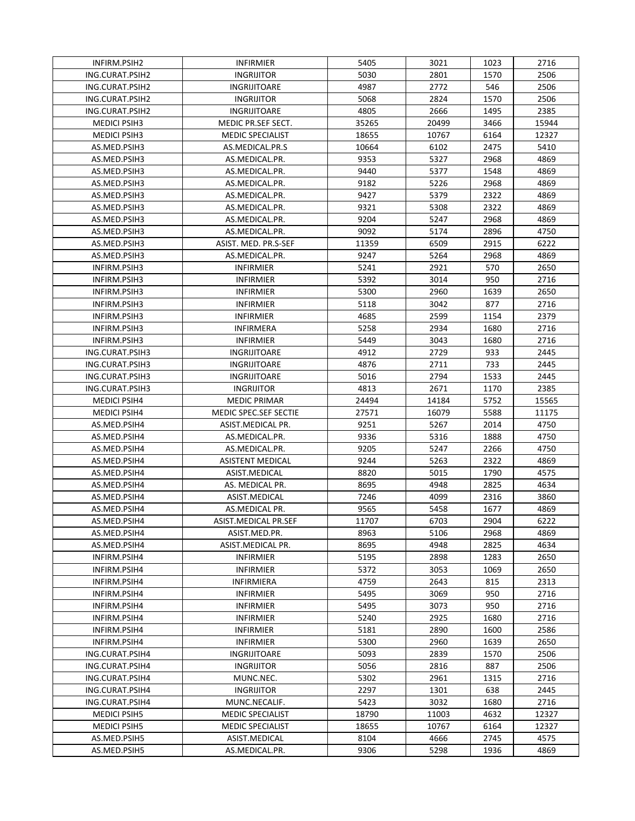| 5030<br>2801<br>2506<br>ING.CURAT.PSIH2<br><b>INGRIJITOR</b><br>1570<br>4987<br>2772<br>546<br>2506<br>ING.CURAT.PSIH2<br>INGRIJITOARE<br>5068<br>2824<br>2506<br>ING.CURAT.PSIH2<br><b>INGRIJITOR</b><br>1570<br>4805<br>2666<br>1495<br>2385<br>ING.CURAT.PSIH2<br><b>INGRIJITOARE</b><br>35265<br>20499<br>3466<br>15944<br><b>MEDICI PSIH3</b><br>MEDIC PR.SEF SECT.<br><b>MEDICI PSIH3</b><br>18655<br>10767<br>6164<br>12327<br><b>MEDIC SPECIALIST</b><br>AS.MED.PSIH3<br>AS.MEDICAL.PR.S<br>10664<br>6102<br>2475<br>5410<br>9353<br>5327<br>2968<br>4869<br>AS.MED.PSIH3<br>AS.MEDICAL.PR.<br>AS.MED.PSIH3<br>AS.MEDICAL.PR.<br>9440<br>5377<br>1548<br>4869<br>9182<br>2968<br>4869<br>AS.MED.PSIH3<br>AS.MEDICAL.PR.<br>5226<br>9427<br>5379<br>2322<br>4869<br>AS.MED.PSIH3<br>AS.MEDICAL.PR.<br>9321<br>5308<br>2322<br>4869<br>AS.MED.PSIH3<br>AS.MEDICAL.PR.<br>AS.MED.PSIH3<br>9204<br>5247<br>2968<br>4869<br>AS.MEDICAL.PR.<br>9092<br>2896<br>4750<br>AS.MED.PSIH3<br>AS.MEDICAL.PR.<br>5174<br>2915<br>6222<br>AS.MED.PSIH3<br>ASIST. MED. PR.S-SEF<br>11359<br>6509<br>9247<br>5264<br>2968<br>4869<br>AS.MED.PSIH3<br>AS.MEDICAL.PR.<br>5241<br>2650<br>INFIRM.PSIH3<br><b>INFIRMIER</b><br>2921<br>570<br>INFIRM.PSIH3<br><b>INFIRMIER</b><br>5392<br>3014<br>950<br>2716<br>5300<br>2960<br>2650<br>INFIRM.PSIH3<br><b>INFIRMIER</b><br>1639<br>5118<br>2716<br>INFIRM.PSIH3<br><b>INFIRMIER</b><br>3042<br>877<br>4685<br>2599<br>1154<br>2379<br>INFIRM.PSIH3<br><b>INFIRMIER</b><br>5258<br>2934<br>2716<br>INFIRM.PSIH3<br>INFIRMERA<br>1680<br>INFIRM.PSIH3<br>5449<br>3043<br>1680<br>2716<br><b>INFIRMIER</b><br>4912<br>2729<br>933<br>2445<br>ING.CURAT.PSIH3<br><b>INGRIJITOARE</b><br>4876<br>2445<br>ING.CURAT.PSIH3<br><b>INGRIJITOARE</b><br>2711<br>733<br>2794<br>2445<br>ING.CURAT.PSIH3<br><b>INGRIJITOARE</b><br>5016<br>1533<br>4813<br>2671<br>2385<br>ING.CURAT.PSIH3<br><b>INGRIJITOR</b><br>1170<br>24494<br>14184<br>5752<br>15565<br><b>MEDICI PSIH4</b><br><b>MEDIC PRIMAR</b><br>MEDIC SPEC.SEF SECTIE<br>27571<br>16079<br>5588<br>11175<br><b>MEDICI PSIH4</b><br>9251<br>5267<br>2014<br>4750<br>AS.MED.PSIH4<br>ASIST.MEDICAL PR.<br>4750<br>AS.MED.PSIH4<br>9336<br>5316<br>1888<br>AS.MEDICAL.PR.<br>9205<br>4750<br>AS.MED.PSIH4<br>AS.MEDICAL.PR.<br>5247<br>2266<br>9244<br>2322<br>4869<br>AS.MED.PSIH4<br><b>ASISTENT MEDICAL</b><br>5263<br>8820<br>4575<br>AS.MED.PSIH4<br>ASIST.MEDICAL<br>5015<br>1790<br>AS.MED.PSIH4<br>AS. MEDICAL PR.<br>8695<br>4948<br>2825<br>4634<br>4099<br>AS.MED.PSIH4<br>ASIST.MEDICAL<br>7246<br>2316<br>3860<br>9565<br>1677<br>4869<br>AS.MED.PSIH4<br>AS.MEDICAL PR.<br>5458<br>6703<br>6222<br>AS.MED.PSIH4<br>11707<br>2904<br>ASIST.MEDICAL PR.SEF<br>AS.MED.PSIH4<br>8963<br>5106<br>2968<br>4869<br>ASIST.MED.PR.<br>4634<br>AS.MED.PSIH4<br>ASIST.MEDICAL PR.<br>8695<br>4948<br>2825<br>5195<br>2898<br>1283<br>2650<br>INFIRM.PSIH4<br>INFIRMIER<br>INFIRM.PSIH4<br><b>INFIRMIER</b><br>5372<br>3053<br>1069<br>2650<br>4759<br>INFIRM.PSIH4<br>INFIRMIERA<br>2643<br>815<br>2313<br><b>INFIRMIER</b><br>5495<br>3069<br>950<br>2716<br>INFIRM.PSIH4<br>5495<br>2716<br>INFIRM.PSIH4<br><b>INFIRMIER</b><br>3073<br>950<br>5240<br>2925<br>2716<br>INFIRM.PSIH4<br><b>INFIRMIER</b><br>1680<br>5181<br>2586<br>INFIRM.PSIH4<br><b>INFIRMIER</b><br>2890<br>1600<br>1639<br>2650<br>INFIRM.PSIH4<br><b>INFIRMIER</b><br>5300<br>2960<br>ING.CURAT.PSIH4<br>INGRIJITOARE<br>5093<br>2839<br>1570<br>2506<br>2506<br>ING.CURAT.PSIH4<br><b>INGRIJITOR</b><br>5056<br>2816<br>887<br>ING.CURAT.PSIH4<br>MUNC.NEC.<br>5302<br>2961<br>1315<br>2716<br>2297<br>2445<br>ING.CURAT.PSIH4<br>INGRIJITOR<br>1301<br>638<br>3032<br>2716<br>ING.CURAT.PSIH4<br>5423<br>1680<br>MUNC.NECALIF.<br>18790<br>4632<br>12327<br><b>MEDICI PSIH5</b><br><b>MEDIC SPECIALIST</b><br>11003<br><b>MEDICI PSIH5</b><br><b>MEDIC SPECIALIST</b><br>18655<br>10767<br>6164<br>12327<br>2745<br>4575<br>AS.MED.PSIH5<br>ASIST.MEDICAL<br>8104<br>4666<br>AS.MED.PSIH5<br>9306<br>AS.MEDICAL.PR.<br>5298<br>1936<br>4869 | INFIRM.PSIH2 | <b>INFIRMIER</b> | 5405 | 3021 | 1023 | 2716 |
|-----------------------------------------------------------------------------------------------------------------------------------------------------------------------------------------------------------------------------------------------------------------------------------------------------------------------------------------------------------------------------------------------------------------------------------------------------------------------------------------------------------------------------------------------------------------------------------------------------------------------------------------------------------------------------------------------------------------------------------------------------------------------------------------------------------------------------------------------------------------------------------------------------------------------------------------------------------------------------------------------------------------------------------------------------------------------------------------------------------------------------------------------------------------------------------------------------------------------------------------------------------------------------------------------------------------------------------------------------------------------------------------------------------------------------------------------------------------------------------------------------------------------------------------------------------------------------------------------------------------------------------------------------------------------------------------------------------------------------------------------------------------------------------------------------------------------------------------------------------------------------------------------------------------------------------------------------------------------------------------------------------------------------------------------------------------------------------------------------------------------------------------------------------------------------------------------------------------------------------------------------------------------------------------------------------------------------------------------------------------------------------------------------------------------------------------------------------------------------------------------------------------------------------------------------------------------------------------------------------------------------------------------------------------------------------------------------------------------------------------------------------------------------------------------------------------------------------------------------------------------------------------------------------------------------------------------------------------------------------------------------------------------------------------------------------------------------------------------------------------------------------------------------------------------------------------------------------------------------------------------------------------------------------------------------------------------------------------------------------------------------------------------------------------------------------------------------------------------------------------------------------------------------------------------------------------------------------------------------------------------------------------------------------------------------------------------------------------------------------------------------------------------------------------------------------------------------------------------------------------------------------------------------------------------------------------------------------------------------------------------------------------------------------------------------------------------------------------------------------|--------------|------------------|------|------|------|------|
|                                                                                                                                                                                                                                                                                                                                                                                                                                                                                                                                                                                                                                                                                                                                                                                                                                                                                                                                                                                                                                                                                                                                                                                                                                                                                                                                                                                                                                                                                                                                                                                                                                                                                                                                                                                                                                                                                                                                                                                                                                                                                                                                                                                                                                                                                                                                                                                                                                                                                                                                                                                                                                                                                                                                                                                                                                                                                                                                                                                                                                                                                                                                                                                                                                                                                                                                                                                                                                                                                                                                                                                                                                                                                                                                                                                                                                                                                                                                                                                                                                                                                                           |              |                  |      |      |      |      |
|                                                                                                                                                                                                                                                                                                                                                                                                                                                                                                                                                                                                                                                                                                                                                                                                                                                                                                                                                                                                                                                                                                                                                                                                                                                                                                                                                                                                                                                                                                                                                                                                                                                                                                                                                                                                                                                                                                                                                                                                                                                                                                                                                                                                                                                                                                                                                                                                                                                                                                                                                                                                                                                                                                                                                                                                                                                                                                                                                                                                                                                                                                                                                                                                                                                                                                                                                                                                                                                                                                                                                                                                                                                                                                                                                                                                                                                                                                                                                                                                                                                                                                           |              |                  |      |      |      |      |
|                                                                                                                                                                                                                                                                                                                                                                                                                                                                                                                                                                                                                                                                                                                                                                                                                                                                                                                                                                                                                                                                                                                                                                                                                                                                                                                                                                                                                                                                                                                                                                                                                                                                                                                                                                                                                                                                                                                                                                                                                                                                                                                                                                                                                                                                                                                                                                                                                                                                                                                                                                                                                                                                                                                                                                                                                                                                                                                                                                                                                                                                                                                                                                                                                                                                                                                                                                                                                                                                                                                                                                                                                                                                                                                                                                                                                                                                                                                                                                                                                                                                                                           |              |                  |      |      |      |      |
|                                                                                                                                                                                                                                                                                                                                                                                                                                                                                                                                                                                                                                                                                                                                                                                                                                                                                                                                                                                                                                                                                                                                                                                                                                                                                                                                                                                                                                                                                                                                                                                                                                                                                                                                                                                                                                                                                                                                                                                                                                                                                                                                                                                                                                                                                                                                                                                                                                                                                                                                                                                                                                                                                                                                                                                                                                                                                                                                                                                                                                                                                                                                                                                                                                                                                                                                                                                                                                                                                                                                                                                                                                                                                                                                                                                                                                                                                                                                                                                                                                                                                                           |              |                  |      |      |      |      |
|                                                                                                                                                                                                                                                                                                                                                                                                                                                                                                                                                                                                                                                                                                                                                                                                                                                                                                                                                                                                                                                                                                                                                                                                                                                                                                                                                                                                                                                                                                                                                                                                                                                                                                                                                                                                                                                                                                                                                                                                                                                                                                                                                                                                                                                                                                                                                                                                                                                                                                                                                                                                                                                                                                                                                                                                                                                                                                                                                                                                                                                                                                                                                                                                                                                                                                                                                                                                                                                                                                                                                                                                                                                                                                                                                                                                                                                                                                                                                                                                                                                                                                           |              |                  |      |      |      |      |
|                                                                                                                                                                                                                                                                                                                                                                                                                                                                                                                                                                                                                                                                                                                                                                                                                                                                                                                                                                                                                                                                                                                                                                                                                                                                                                                                                                                                                                                                                                                                                                                                                                                                                                                                                                                                                                                                                                                                                                                                                                                                                                                                                                                                                                                                                                                                                                                                                                                                                                                                                                                                                                                                                                                                                                                                                                                                                                                                                                                                                                                                                                                                                                                                                                                                                                                                                                                                                                                                                                                                                                                                                                                                                                                                                                                                                                                                                                                                                                                                                                                                                                           |              |                  |      |      |      |      |
|                                                                                                                                                                                                                                                                                                                                                                                                                                                                                                                                                                                                                                                                                                                                                                                                                                                                                                                                                                                                                                                                                                                                                                                                                                                                                                                                                                                                                                                                                                                                                                                                                                                                                                                                                                                                                                                                                                                                                                                                                                                                                                                                                                                                                                                                                                                                                                                                                                                                                                                                                                                                                                                                                                                                                                                                                                                                                                                                                                                                                                                                                                                                                                                                                                                                                                                                                                                                                                                                                                                                                                                                                                                                                                                                                                                                                                                                                                                                                                                                                                                                                                           |              |                  |      |      |      |      |
|                                                                                                                                                                                                                                                                                                                                                                                                                                                                                                                                                                                                                                                                                                                                                                                                                                                                                                                                                                                                                                                                                                                                                                                                                                                                                                                                                                                                                                                                                                                                                                                                                                                                                                                                                                                                                                                                                                                                                                                                                                                                                                                                                                                                                                                                                                                                                                                                                                                                                                                                                                                                                                                                                                                                                                                                                                                                                                                                                                                                                                                                                                                                                                                                                                                                                                                                                                                                                                                                                                                                                                                                                                                                                                                                                                                                                                                                                                                                                                                                                                                                                                           |              |                  |      |      |      |      |
|                                                                                                                                                                                                                                                                                                                                                                                                                                                                                                                                                                                                                                                                                                                                                                                                                                                                                                                                                                                                                                                                                                                                                                                                                                                                                                                                                                                                                                                                                                                                                                                                                                                                                                                                                                                                                                                                                                                                                                                                                                                                                                                                                                                                                                                                                                                                                                                                                                                                                                                                                                                                                                                                                                                                                                                                                                                                                                                                                                                                                                                                                                                                                                                                                                                                                                                                                                                                                                                                                                                                                                                                                                                                                                                                                                                                                                                                                                                                                                                                                                                                                                           |              |                  |      |      |      |      |
|                                                                                                                                                                                                                                                                                                                                                                                                                                                                                                                                                                                                                                                                                                                                                                                                                                                                                                                                                                                                                                                                                                                                                                                                                                                                                                                                                                                                                                                                                                                                                                                                                                                                                                                                                                                                                                                                                                                                                                                                                                                                                                                                                                                                                                                                                                                                                                                                                                                                                                                                                                                                                                                                                                                                                                                                                                                                                                                                                                                                                                                                                                                                                                                                                                                                                                                                                                                                                                                                                                                                                                                                                                                                                                                                                                                                                                                                                                                                                                                                                                                                                                           |              |                  |      |      |      |      |
|                                                                                                                                                                                                                                                                                                                                                                                                                                                                                                                                                                                                                                                                                                                                                                                                                                                                                                                                                                                                                                                                                                                                                                                                                                                                                                                                                                                                                                                                                                                                                                                                                                                                                                                                                                                                                                                                                                                                                                                                                                                                                                                                                                                                                                                                                                                                                                                                                                                                                                                                                                                                                                                                                                                                                                                                                                                                                                                                                                                                                                                                                                                                                                                                                                                                                                                                                                                                                                                                                                                                                                                                                                                                                                                                                                                                                                                                                                                                                                                                                                                                                                           |              |                  |      |      |      |      |
|                                                                                                                                                                                                                                                                                                                                                                                                                                                                                                                                                                                                                                                                                                                                                                                                                                                                                                                                                                                                                                                                                                                                                                                                                                                                                                                                                                                                                                                                                                                                                                                                                                                                                                                                                                                                                                                                                                                                                                                                                                                                                                                                                                                                                                                                                                                                                                                                                                                                                                                                                                                                                                                                                                                                                                                                                                                                                                                                                                                                                                                                                                                                                                                                                                                                                                                                                                                                                                                                                                                                                                                                                                                                                                                                                                                                                                                                                                                                                                                                                                                                                                           |              |                  |      |      |      |      |
|                                                                                                                                                                                                                                                                                                                                                                                                                                                                                                                                                                                                                                                                                                                                                                                                                                                                                                                                                                                                                                                                                                                                                                                                                                                                                                                                                                                                                                                                                                                                                                                                                                                                                                                                                                                                                                                                                                                                                                                                                                                                                                                                                                                                                                                                                                                                                                                                                                                                                                                                                                                                                                                                                                                                                                                                                                                                                                                                                                                                                                                                                                                                                                                                                                                                                                                                                                                                                                                                                                                                                                                                                                                                                                                                                                                                                                                                                                                                                                                                                                                                                                           |              |                  |      |      |      |      |
|                                                                                                                                                                                                                                                                                                                                                                                                                                                                                                                                                                                                                                                                                                                                                                                                                                                                                                                                                                                                                                                                                                                                                                                                                                                                                                                                                                                                                                                                                                                                                                                                                                                                                                                                                                                                                                                                                                                                                                                                                                                                                                                                                                                                                                                                                                                                                                                                                                                                                                                                                                                                                                                                                                                                                                                                                                                                                                                                                                                                                                                                                                                                                                                                                                                                                                                                                                                                                                                                                                                                                                                                                                                                                                                                                                                                                                                                                                                                                                                                                                                                                                           |              |                  |      |      |      |      |
|                                                                                                                                                                                                                                                                                                                                                                                                                                                                                                                                                                                                                                                                                                                                                                                                                                                                                                                                                                                                                                                                                                                                                                                                                                                                                                                                                                                                                                                                                                                                                                                                                                                                                                                                                                                                                                                                                                                                                                                                                                                                                                                                                                                                                                                                                                                                                                                                                                                                                                                                                                                                                                                                                                                                                                                                                                                                                                                                                                                                                                                                                                                                                                                                                                                                                                                                                                                                                                                                                                                                                                                                                                                                                                                                                                                                                                                                                                                                                                                                                                                                                                           |              |                  |      |      |      |      |
|                                                                                                                                                                                                                                                                                                                                                                                                                                                                                                                                                                                                                                                                                                                                                                                                                                                                                                                                                                                                                                                                                                                                                                                                                                                                                                                                                                                                                                                                                                                                                                                                                                                                                                                                                                                                                                                                                                                                                                                                                                                                                                                                                                                                                                                                                                                                                                                                                                                                                                                                                                                                                                                                                                                                                                                                                                                                                                                                                                                                                                                                                                                                                                                                                                                                                                                                                                                                                                                                                                                                                                                                                                                                                                                                                                                                                                                                                                                                                                                                                                                                                                           |              |                  |      |      |      |      |
|                                                                                                                                                                                                                                                                                                                                                                                                                                                                                                                                                                                                                                                                                                                                                                                                                                                                                                                                                                                                                                                                                                                                                                                                                                                                                                                                                                                                                                                                                                                                                                                                                                                                                                                                                                                                                                                                                                                                                                                                                                                                                                                                                                                                                                                                                                                                                                                                                                                                                                                                                                                                                                                                                                                                                                                                                                                                                                                                                                                                                                                                                                                                                                                                                                                                                                                                                                                                                                                                                                                                                                                                                                                                                                                                                                                                                                                                                                                                                                                                                                                                                                           |              |                  |      |      |      |      |
|                                                                                                                                                                                                                                                                                                                                                                                                                                                                                                                                                                                                                                                                                                                                                                                                                                                                                                                                                                                                                                                                                                                                                                                                                                                                                                                                                                                                                                                                                                                                                                                                                                                                                                                                                                                                                                                                                                                                                                                                                                                                                                                                                                                                                                                                                                                                                                                                                                                                                                                                                                                                                                                                                                                                                                                                                                                                                                                                                                                                                                                                                                                                                                                                                                                                                                                                                                                                                                                                                                                                                                                                                                                                                                                                                                                                                                                                                                                                                                                                                                                                                                           |              |                  |      |      |      |      |
|                                                                                                                                                                                                                                                                                                                                                                                                                                                                                                                                                                                                                                                                                                                                                                                                                                                                                                                                                                                                                                                                                                                                                                                                                                                                                                                                                                                                                                                                                                                                                                                                                                                                                                                                                                                                                                                                                                                                                                                                                                                                                                                                                                                                                                                                                                                                                                                                                                                                                                                                                                                                                                                                                                                                                                                                                                                                                                                                                                                                                                                                                                                                                                                                                                                                                                                                                                                                                                                                                                                                                                                                                                                                                                                                                                                                                                                                                                                                                                                                                                                                                                           |              |                  |      |      |      |      |
|                                                                                                                                                                                                                                                                                                                                                                                                                                                                                                                                                                                                                                                                                                                                                                                                                                                                                                                                                                                                                                                                                                                                                                                                                                                                                                                                                                                                                                                                                                                                                                                                                                                                                                                                                                                                                                                                                                                                                                                                                                                                                                                                                                                                                                                                                                                                                                                                                                                                                                                                                                                                                                                                                                                                                                                                                                                                                                                                                                                                                                                                                                                                                                                                                                                                                                                                                                                                                                                                                                                                                                                                                                                                                                                                                                                                                                                                                                                                                                                                                                                                                                           |              |                  |      |      |      |      |
|                                                                                                                                                                                                                                                                                                                                                                                                                                                                                                                                                                                                                                                                                                                                                                                                                                                                                                                                                                                                                                                                                                                                                                                                                                                                                                                                                                                                                                                                                                                                                                                                                                                                                                                                                                                                                                                                                                                                                                                                                                                                                                                                                                                                                                                                                                                                                                                                                                                                                                                                                                                                                                                                                                                                                                                                                                                                                                                                                                                                                                                                                                                                                                                                                                                                                                                                                                                                                                                                                                                                                                                                                                                                                                                                                                                                                                                                                                                                                                                                                                                                                                           |              |                  |      |      |      |      |
|                                                                                                                                                                                                                                                                                                                                                                                                                                                                                                                                                                                                                                                                                                                                                                                                                                                                                                                                                                                                                                                                                                                                                                                                                                                                                                                                                                                                                                                                                                                                                                                                                                                                                                                                                                                                                                                                                                                                                                                                                                                                                                                                                                                                                                                                                                                                                                                                                                                                                                                                                                                                                                                                                                                                                                                                                                                                                                                                                                                                                                                                                                                                                                                                                                                                                                                                                                                                                                                                                                                                                                                                                                                                                                                                                                                                                                                                                                                                                                                                                                                                                                           |              |                  |      |      |      |      |
|                                                                                                                                                                                                                                                                                                                                                                                                                                                                                                                                                                                                                                                                                                                                                                                                                                                                                                                                                                                                                                                                                                                                                                                                                                                                                                                                                                                                                                                                                                                                                                                                                                                                                                                                                                                                                                                                                                                                                                                                                                                                                                                                                                                                                                                                                                                                                                                                                                                                                                                                                                                                                                                                                                                                                                                                                                                                                                                                                                                                                                                                                                                                                                                                                                                                                                                                                                                                                                                                                                                                                                                                                                                                                                                                                                                                                                                                                                                                                                                                                                                                                                           |              |                  |      |      |      |      |
|                                                                                                                                                                                                                                                                                                                                                                                                                                                                                                                                                                                                                                                                                                                                                                                                                                                                                                                                                                                                                                                                                                                                                                                                                                                                                                                                                                                                                                                                                                                                                                                                                                                                                                                                                                                                                                                                                                                                                                                                                                                                                                                                                                                                                                                                                                                                                                                                                                                                                                                                                                                                                                                                                                                                                                                                                                                                                                                                                                                                                                                                                                                                                                                                                                                                                                                                                                                                                                                                                                                                                                                                                                                                                                                                                                                                                                                                                                                                                                                                                                                                                                           |              |                  |      |      |      |      |
|                                                                                                                                                                                                                                                                                                                                                                                                                                                                                                                                                                                                                                                                                                                                                                                                                                                                                                                                                                                                                                                                                                                                                                                                                                                                                                                                                                                                                                                                                                                                                                                                                                                                                                                                                                                                                                                                                                                                                                                                                                                                                                                                                                                                                                                                                                                                                                                                                                                                                                                                                                                                                                                                                                                                                                                                                                                                                                                                                                                                                                                                                                                                                                                                                                                                                                                                                                                                                                                                                                                                                                                                                                                                                                                                                                                                                                                                                                                                                                                                                                                                                                           |              |                  |      |      |      |      |
|                                                                                                                                                                                                                                                                                                                                                                                                                                                                                                                                                                                                                                                                                                                                                                                                                                                                                                                                                                                                                                                                                                                                                                                                                                                                                                                                                                                                                                                                                                                                                                                                                                                                                                                                                                                                                                                                                                                                                                                                                                                                                                                                                                                                                                                                                                                                                                                                                                                                                                                                                                                                                                                                                                                                                                                                                                                                                                                                                                                                                                                                                                                                                                                                                                                                                                                                                                                                                                                                                                                                                                                                                                                                                                                                                                                                                                                                                                                                                                                                                                                                                                           |              |                  |      |      |      |      |
|                                                                                                                                                                                                                                                                                                                                                                                                                                                                                                                                                                                                                                                                                                                                                                                                                                                                                                                                                                                                                                                                                                                                                                                                                                                                                                                                                                                                                                                                                                                                                                                                                                                                                                                                                                                                                                                                                                                                                                                                                                                                                                                                                                                                                                                                                                                                                                                                                                                                                                                                                                                                                                                                                                                                                                                                                                                                                                                                                                                                                                                                                                                                                                                                                                                                                                                                                                                                                                                                                                                                                                                                                                                                                                                                                                                                                                                                                                                                                                                                                                                                                                           |              |                  |      |      |      |      |
|                                                                                                                                                                                                                                                                                                                                                                                                                                                                                                                                                                                                                                                                                                                                                                                                                                                                                                                                                                                                                                                                                                                                                                                                                                                                                                                                                                                                                                                                                                                                                                                                                                                                                                                                                                                                                                                                                                                                                                                                                                                                                                                                                                                                                                                                                                                                                                                                                                                                                                                                                                                                                                                                                                                                                                                                                                                                                                                                                                                                                                                                                                                                                                                                                                                                                                                                                                                                                                                                                                                                                                                                                                                                                                                                                                                                                                                                                                                                                                                                                                                                                                           |              |                  |      |      |      |      |
|                                                                                                                                                                                                                                                                                                                                                                                                                                                                                                                                                                                                                                                                                                                                                                                                                                                                                                                                                                                                                                                                                                                                                                                                                                                                                                                                                                                                                                                                                                                                                                                                                                                                                                                                                                                                                                                                                                                                                                                                                                                                                                                                                                                                                                                                                                                                                                                                                                                                                                                                                                                                                                                                                                                                                                                                                                                                                                                                                                                                                                                                                                                                                                                                                                                                                                                                                                                                                                                                                                                                                                                                                                                                                                                                                                                                                                                                                                                                                                                                                                                                                                           |              |                  |      |      |      |      |
|                                                                                                                                                                                                                                                                                                                                                                                                                                                                                                                                                                                                                                                                                                                                                                                                                                                                                                                                                                                                                                                                                                                                                                                                                                                                                                                                                                                                                                                                                                                                                                                                                                                                                                                                                                                                                                                                                                                                                                                                                                                                                                                                                                                                                                                                                                                                                                                                                                                                                                                                                                                                                                                                                                                                                                                                                                                                                                                                                                                                                                                                                                                                                                                                                                                                                                                                                                                                                                                                                                                                                                                                                                                                                                                                                                                                                                                                                                                                                                                                                                                                                                           |              |                  |      |      |      |      |
|                                                                                                                                                                                                                                                                                                                                                                                                                                                                                                                                                                                                                                                                                                                                                                                                                                                                                                                                                                                                                                                                                                                                                                                                                                                                                                                                                                                                                                                                                                                                                                                                                                                                                                                                                                                                                                                                                                                                                                                                                                                                                                                                                                                                                                                                                                                                                                                                                                                                                                                                                                                                                                                                                                                                                                                                                                                                                                                                                                                                                                                                                                                                                                                                                                                                                                                                                                                                                                                                                                                                                                                                                                                                                                                                                                                                                                                                                                                                                                                                                                                                                                           |              |                  |      |      |      |      |
|                                                                                                                                                                                                                                                                                                                                                                                                                                                                                                                                                                                                                                                                                                                                                                                                                                                                                                                                                                                                                                                                                                                                                                                                                                                                                                                                                                                                                                                                                                                                                                                                                                                                                                                                                                                                                                                                                                                                                                                                                                                                                                                                                                                                                                                                                                                                                                                                                                                                                                                                                                                                                                                                                                                                                                                                                                                                                                                                                                                                                                                                                                                                                                                                                                                                                                                                                                                                                                                                                                                                                                                                                                                                                                                                                                                                                                                                                                                                                                                                                                                                                                           |              |                  |      |      |      |      |
|                                                                                                                                                                                                                                                                                                                                                                                                                                                                                                                                                                                                                                                                                                                                                                                                                                                                                                                                                                                                                                                                                                                                                                                                                                                                                                                                                                                                                                                                                                                                                                                                                                                                                                                                                                                                                                                                                                                                                                                                                                                                                                                                                                                                                                                                                                                                                                                                                                                                                                                                                                                                                                                                                                                                                                                                                                                                                                                                                                                                                                                                                                                                                                                                                                                                                                                                                                                                                                                                                                                                                                                                                                                                                                                                                                                                                                                                                                                                                                                                                                                                                                           |              |                  |      |      |      |      |
|                                                                                                                                                                                                                                                                                                                                                                                                                                                                                                                                                                                                                                                                                                                                                                                                                                                                                                                                                                                                                                                                                                                                                                                                                                                                                                                                                                                                                                                                                                                                                                                                                                                                                                                                                                                                                                                                                                                                                                                                                                                                                                                                                                                                                                                                                                                                                                                                                                                                                                                                                                                                                                                                                                                                                                                                                                                                                                                                                                                                                                                                                                                                                                                                                                                                                                                                                                                                                                                                                                                                                                                                                                                                                                                                                                                                                                                                                                                                                                                                                                                                                                           |              |                  |      |      |      |      |
|                                                                                                                                                                                                                                                                                                                                                                                                                                                                                                                                                                                                                                                                                                                                                                                                                                                                                                                                                                                                                                                                                                                                                                                                                                                                                                                                                                                                                                                                                                                                                                                                                                                                                                                                                                                                                                                                                                                                                                                                                                                                                                                                                                                                                                                                                                                                                                                                                                                                                                                                                                                                                                                                                                                                                                                                                                                                                                                                                                                                                                                                                                                                                                                                                                                                                                                                                                                                                                                                                                                                                                                                                                                                                                                                                                                                                                                                                                                                                                                                                                                                                                           |              |                  |      |      |      |      |
|                                                                                                                                                                                                                                                                                                                                                                                                                                                                                                                                                                                                                                                                                                                                                                                                                                                                                                                                                                                                                                                                                                                                                                                                                                                                                                                                                                                                                                                                                                                                                                                                                                                                                                                                                                                                                                                                                                                                                                                                                                                                                                                                                                                                                                                                                                                                                                                                                                                                                                                                                                                                                                                                                                                                                                                                                                                                                                                                                                                                                                                                                                                                                                                                                                                                                                                                                                                                                                                                                                                                                                                                                                                                                                                                                                                                                                                                                                                                                                                                                                                                                                           |              |                  |      |      |      |      |
|                                                                                                                                                                                                                                                                                                                                                                                                                                                                                                                                                                                                                                                                                                                                                                                                                                                                                                                                                                                                                                                                                                                                                                                                                                                                                                                                                                                                                                                                                                                                                                                                                                                                                                                                                                                                                                                                                                                                                                                                                                                                                                                                                                                                                                                                                                                                                                                                                                                                                                                                                                                                                                                                                                                                                                                                                                                                                                                                                                                                                                                                                                                                                                                                                                                                                                                                                                                                                                                                                                                                                                                                                                                                                                                                                                                                                                                                                                                                                                                                                                                                                                           |              |                  |      |      |      |      |
|                                                                                                                                                                                                                                                                                                                                                                                                                                                                                                                                                                                                                                                                                                                                                                                                                                                                                                                                                                                                                                                                                                                                                                                                                                                                                                                                                                                                                                                                                                                                                                                                                                                                                                                                                                                                                                                                                                                                                                                                                                                                                                                                                                                                                                                                                                                                                                                                                                                                                                                                                                                                                                                                                                                                                                                                                                                                                                                                                                                                                                                                                                                                                                                                                                                                                                                                                                                                                                                                                                                                                                                                                                                                                                                                                                                                                                                                                                                                                                                                                                                                                                           |              |                  |      |      |      |      |
|                                                                                                                                                                                                                                                                                                                                                                                                                                                                                                                                                                                                                                                                                                                                                                                                                                                                                                                                                                                                                                                                                                                                                                                                                                                                                                                                                                                                                                                                                                                                                                                                                                                                                                                                                                                                                                                                                                                                                                                                                                                                                                                                                                                                                                                                                                                                                                                                                                                                                                                                                                                                                                                                                                                                                                                                                                                                                                                                                                                                                                                                                                                                                                                                                                                                                                                                                                                                                                                                                                                                                                                                                                                                                                                                                                                                                                                                                                                                                                                                                                                                                                           |              |                  |      |      |      |      |
|                                                                                                                                                                                                                                                                                                                                                                                                                                                                                                                                                                                                                                                                                                                                                                                                                                                                                                                                                                                                                                                                                                                                                                                                                                                                                                                                                                                                                                                                                                                                                                                                                                                                                                                                                                                                                                                                                                                                                                                                                                                                                                                                                                                                                                                                                                                                                                                                                                                                                                                                                                                                                                                                                                                                                                                                                                                                                                                                                                                                                                                                                                                                                                                                                                                                                                                                                                                                                                                                                                                                                                                                                                                                                                                                                                                                                                                                                                                                                                                                                                                                                                           |              |                  |      |      |      |      |
|                                                                                                                                                                                                                                                                                                                                                                                                                                                                                                                                                                                                                                                                                                                                                                                                                                                                                                                                                                                                                                                                                                                                                                                                                                                                                                                                                                                                                                                                                                                                                                                                                                                                                                                                                                                                                                                                                                                                                                                                                                                                                                                                                                                                                                                                                                                                                                                                                                                                                                                                                                                                                                                                                                                                                                                                                                                                                                                                                                                                                                                                                                                                                                                                                                                                                                                                                                                                                                                                                                                                                                                                                                                                                                                                                                                                                                                                                                                                                                                                                                                                                                           |              |                  |      |      |      |      |
|                                                                                                                                                                                                                                                                                                                                                                                                                                                                                                                                                                                                                                                                                                                                                                                                                                                                                                                                                                                                                                                                                                                                                                                                                                                                                                                                                                                                                                                                                                                                                                                                                                                                                                                                                                                                                                                                                                                                                                                                                                                                                                                                                                                                                                                                                                                                                                                                                                                                                                                                                                                                                                                                                                                                                                                                                                                                                                                                                                                                                                                                                                                                                                                                                                                                                                                                                                                                                                                                                                                                                                                                                                                                                                                                                                                                                                                                                                                                                                                                                                                                                                           |              |                  |      |      |      |      |
|                                                                                                                                                                                                                                                                                                                                                                                                                                                                                                                                                                                                                                                                                                                                                                                                                                                                                                                                                                                                                                                                                                                                                                                                                                                                                                                                                                                                                                                                                                                                                                                                                                                                                                                                                                                                                                                                                                                                                                                                                                                                                                                                                                                                                                                                                                                                                                                                                                                                                                                                                                                                                                                                                                                                                                                                                                                                                                                                                                                                                                                                                                                                                                                                                                                                                                                                                                                                                                                                                                                                                                                                                                                                                                                                                                                                                                                                                                                                                                                                                                                                                                           |              |                  |      |      |      |      |
|                                                                                                                                                                                                                                                                                                                                                                                                                                                                                                                                                                                                                                                                                                                                                                                                                                                                                                                                                                                                                                                                                                                                                                                                                                                                                                                                                                                                                                                                                                                                                                                                                                                                                                                                                                                                                                                                                                                                                                                                                                                                                                                                                                                                                                                                                                                                                                                                                                                                                                                                                                                                                                                                                                                                                                                                                                                                                                                                                                                                                                                                                                                                                                                                                                                                                                                                                                                                                                                                                                                                                                                                                                                                                                                                                                                                                                                                                                                                                                                                                                                                                                           |              |                  |      |      |      |      |
|                                                                                                                                                                                                                                                                                                                                                                                                                                                                                                                                                                                                                                                                                                                                                                                                                                                                                                                                                                                                                                                                                                                                                                                                                                                                                                                                                                                                                                                                                                                                                                                                                                                                                                                                                                                                                                                                                                                                                                                                                                                                                                                                                                                                                                                                                                                                                                                                                                                                                                                                                                                                                                                                                                                                                                                                                                                                                                                                                                                                                                                                                                                                                                                                                                                                                                                                                                                                                                                                                                                                                                                                                                                                                                                                                                                                                                                                                                                                                                                                                                                                                                           |              |                  |      |      |      |      |
|                                                                                                                                                                                                                                                                                                                                                                                                                                                                                                                                                                                                                                                                                                                                                                                                                                                                                                                                                                                                                                                                                                                                                                                                                                                                                                                                                                                                                                                                                                                                                                                                                                                                                                                                                                                                                                                                                                                                                                                                                                                                                                                                                                                                                                                                                                                                                                                                                                                                                                                                                                                                                                                                                                                                                                                                                                                                                                                                                                                                                                                                                                                                                                                                                                                                                                                                                                                                                                                                                                                                                                                                                                                                                                                                                                                                                                                                                                                                                                                                                                                                                                           |              |                  |      |      |      |      |
|                                                                                                                                                                                                                                                                                                                                                                                                                                                                                                                                                                                                                                                                                                                                                                                                                                                                                                                                                                                                                                                                                                                                                                                                                                                                                                                                                                                                                                                                                                                                                                                                                                                                                                                                                                                                                                                                                                                                                                                                                                                                                                                                                                                                                                                                                                                                                                                                                                                                                                                                                                                                                                                                                                                                                                                                                                                                                                                                                                                                                                                                                                                                                                                                                                                                                                                                                                                                                                                                                                                                                                                                                                                                                                                                                                                                                                                                                                                                                                                                                                                                                                           |              |                  |      |      |      |      |
|                                                                                                                                                                                                                                                                                                                                                                                                                                                                                                                                                                                                                                                                                                                                                                                                                                                                                                                                                                                                                                                                                                                                                                                                                                                                                                                                                                                                                                                                                                                                                                                                                                                                                                                                                                                                                                                                                                                                                                                                                                                                                                                                                                                                                                                                                                                                                                                                                                                                                                                                                                                                                                                                                                                                                                                                                                                                                                                                                                                                                                                                                                                                                                                                                                                                                                                                                                                                                                                                                                                                                                                                                                                                                                                                                                                                                                                                                                                                                                                                                                                                                                           |              |                  |      |      |      |      |
|                                                                                                                                                                                                                                                                                                                                                                                                                                                                                                                                                                                                                                                                                                                                                                                                                                                                                                                                                                                                                                                                                                                                                                                                                                                                                                                                                                                                                                                                                                                                                                                                                                                                                                                                                                                                                                                                                                                                                                                                                                                                                                                                                                                                                                                                                                                                                                                                                                                                                                                                                                                                                                                                                                                                                                                                                                                                                                                                                                                                                                                                                                                                                                                                                                                                                                                                                                                                                                                                                                                                                                                                                                                                                                                                                                                                                                                                                                                                                                                                                                                                                                           |              |                  |      |      |      |      |
|                                                                                                                                                                                                                                                                                                                                                                                                                                                                                                                                                                                                                                                                                                                                                                                                                                                                                                                                                                                                                                                                                                                                                                                                                                                                                                                                                                                                                                                                                                                                                                                                                                                                                                                                                                                                                                                                                                                                                                                                                                                                                                                                                                                                                                                                                                                                                                                                                                                                                                                                                                                                                                                                                                                                                                                                                                                                                                                                                                                                                                                                                                                                                                                                                                                                                                                                                                                                                                                                                                                                                                                                                                                                                                                                                                                                                                                                                                                                                                                                                                                                                                           |              |                  |      |      |      |      |
|                                                                                                                                                                                                                                                                                                                                                                                                                                                                                                                                                                                                                                                                                                                                                                                                                                                                                                                                                                                                                                                                                                                                                                                                                                                                                                                                                                                                                                                                                                                                                                                                                                                                                                                                                                                                                                                                                                                                                                                                                                                                                                                                                                                                                                                                                                                                                                                                                                                                                                                                                                                                                                                                                                                                                                                                                                                                                                                                                                                                                                                                                                                                                                                                                                                                                                                                                                                                                                                                                                                                                                                                                                                                                                                                                                                                                                                                                                                                                                                                                                                                                                           |              |                  |      |      |      |      |
|                                                                                                                                                                                                                                                                                                                                                                                                                                                                                                                                                                                                                                                                                                                                                                                                                                                                                                                                                                                                                                                                                                                                                                                                                                                                                                                                                                                                                                                                                                                                                                                                                                                                                                                                                                                                                                                                                                                                                                                                                                                                                                                                                                                                                                                                                                                                                                                                                                                                                                                                                                                                                                                                                                                                                                                                                                                                                                                                                                                                                                                                                                                                                                                                                                                                                                                                                                                                                                                                                                                                                                                                                                                                                                                                                                                                                                                                                                                                                                                                                                                                                                           |              |                  |      |      |      |      |
|                                                                                                                                                                                                                                                                                                                                                                                                                                                                                                                                                                                                                                                                                                                                                                                                                                                                                                                                                                                                                                                                                                                                                                                                                                                                                                                                                                                                                                                                                                                                                                                                                                                                                                                                                                                                                                                                                                                                                                                                                                                                                                                                                                                                                                                                                                                                                                                                                                                                                                                                                                                                                                                                                                                                                                                                                                                                                                                                                                                                                                                                                                                                                                                                                                                                                                                                                                                                                                                                                                                                                                                                                                                                                                                                                                                                                                                                                                                                                                                                                                                                                                           |              |                  |      |      |      |      |
|                                                                                                                                                                                                                                                                                                                                                                                                                                                                                                                                                                                                                                                                                                                                                                                                                                                                                                                                                                                                                                                                                                                                                                                                                                                                                                                                                                                                                                                                                                                                                                                                                                                                                                                                                                                                                                                                                                                                                                                                                                                                                                                                                                                                                                                                                                                                                                                                                                                                                                                                                                                                                                                                                                                                                                                                                                                                                                                                                                                                                                                                                                                                                                                                                                                                                                                                                                                                                                                                                                                                                                                                                                                                                                                                                                                                                                                                                                                                                                                                                                                                                                           |              |                  |      |      |      |      |
|                                                                                                                                                                                                                                                                                                                                                                                                                                                                                                                                                                                                                                                                                                                                                                                                                                                                                                                                                                                                                                                                                                                                                                                                                                                                                                                                                                                                                                                                                                                                                                                                                                                                                                                                                                                                                                                                                                                                                                                                                                                                                                                                                                                                                                                                                                                                                                                                                                                                                                                                                                                                                                                                                                                                                                                                                                                                                                                                                                                                                                                                                                                                                                                                                                                                                                                                                                                                                                                                                                                                                                                                                                                                                                                                                                                                                                                                                                                                                                                                                                                                                                           |              |                  |      |      |      |      |
|                                                                                                                                                                                                                                                                                                                                                                                                                                                                                                                                                                                                                                                                                                                                                                                                                                                                                                                                                                                                                                                                                                                                                                                                                                                                                                                                                                                                                                                                                                                                                                                                                                                                                                                                                                                                                                                                                                                                                                                                                                                                                                                                                                                                                                                                                                                                                                                                                                                                                                                                                                                                                                                                                                                                                                                                                                                                                                                                                                                                                                                                                                                                                                                                                                                                                                                                                                                                                                                                                                                                                                                                                                                                                                                                                                                                                                                                                                                                                                                                                                                                                                           |              |                  |      |      |      |      |
|                                                                                                                                                                                                                                                                                                                                                                                                                                                                                                                                                                                                                                                                                                                                                                                                                                                                                                                                                                                                                                                                                                                                                                                                                                                                                                                                                                                                                                                                                                                                                                                                                                                                                                                                                                                                                                                                                                                                                                                                                                                                                                                                                                                                                                                                                                                                                                                                                                                                                                                                                                                                                                                                                                                                                                                                                                                                                                                                                                                                                                                                                                                                                                                                                                                                                                                                                                                                                                                                                                                                                                                                                                                                                                                                                                                                                                                                                                                                                                                                                                                                                                           |              |                  |      |      |      |      |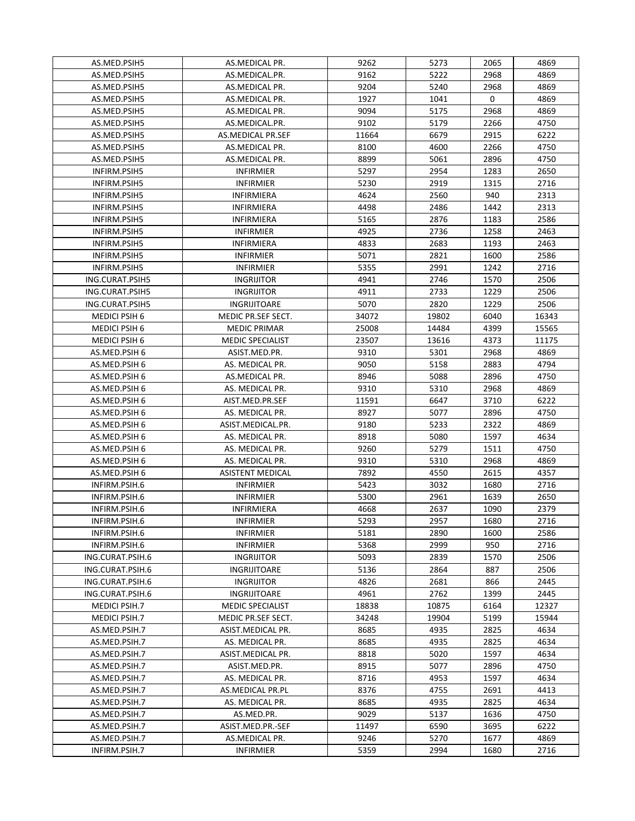| AS.MED.PSIH5         | AS.MEDICAL PR.          | 9262  | 5273  | 2065 | 4869  |
|----------------------|-------------------------|-------|-------|------|-------|
| AS.MED.PSIH5         | AS.MEDICAL.PR.          | 9162  | 5222  | 2968 | 4869  |
| AS.MED.PSIH5         | AS.MEDICAL PR.          | 9204  | 5240  | 2968 | 4869  |
| AS.MED.PSIH5         | AS.MEDICAL PR.          | 1927  | 1041  | 0    | 4869  |
| AS.MED.PSIH5         | AS.MEDICAL PR.          | 9094  | 5175  | 2968 | 4869  |
| AS.MED.PSIH5         | AS.MEDICAL.PR.          | 9102  | 5179  | 2266 | 4750  |
| AS.MED.PSIH5         | AS.MEDICAL PR.SEF       | 11664 | 6679  | 2915 | 6222  |
| AS.MED.PSIH5         | AS.MEDICAL PR.          | 8100  | 4600  | 2266 | 4750  |
| AS.MED.PSIH5         | AS.MEDICAL PR.          | 8899  | 5061  | 2896 | 4750  |
| INFIRM.PSIH5         | <b>INFIRMIER</b>        | 5297  | 2954  | 1283 | 2650  |
| INFIRM.PSIH5         | <b>INFIRMIER</b>        | 5230  | 2919  | 1315 | 2716  |
| INFIRM.PSIH5         | <b>INFIRMIERA</b>       | 4624  | 2560  | 940  | 2313  |
| INFIRM.PSIH5         | <b>INFIRMIERA</b>       | 4498  | 2486  | 1442 | 2313  |
| INFIRM.PSIH5         | <b>INFIRMIERA</b>       | 5165  | 2876  | 1183 | 2586  |
| INFIRM.PSIH5         | <b>INFIRMIER</b>        | 4925  | 2736  | 1258 | 2463  |
| INFIRM.PSIH5         | INFIRMIERA              | 4833  | 2683  | 1193 | 2463  |
| INFIRM.PSIH5         | <b>INFIRMIER</b>        | 5071  | 2821  | 1600 | 2586  |
| INFIRM.PSIH5         | <b>INFIRMIER</b>        | 5355  | 2991  | 1242 | 2716  |
| ING.CURAT.PSIH5      | INGRIJITOR              | 4941  | 2746  | 1570 | 2506  |
| ING.CURAT.PSIH5      | <b>INGRIJITOR</b>       | 4911  | 2733  | 1229 | 2506  |
| ING.CURAT.PSIH5      | INGRIJITOARE            | 5070  | 2820  | 1229 | 2506  |
| MEDICI PSIH 6        | MEDIC PR.SEF SECT.      | 34072 | 19802 | 6040 | 16343 |
| <b>MEDICI PSIH 6</b> | <b>MEDIC PRIMAR</b>     | 25008 | 14484 | 4399 | 15565 |
| MEDICI PSIH 6        | <b>MEDIC SPECIALIST</b> | 23507 | 13616 | 4373 | 11175 |
| AS.MED.PSIH 6        | ASIST.MED.PR.           | 9310  | 5301  | 2968 | 4869  |
| AS.MED.PSIH 6        | AS. MEDICAL PR.         | 9050  | 5158  | 2883 | 4794  |
| AS.MED.PSIH 6        | AS.MEDICAL PR.          | 8946  | 5088  | 2896 | 4750  |
| AS.MED.PSIH 6        | AS. MEDICAL PR.         | 9310  | 5310  | 2968 | 4869  |
| AS.MED.PSIH 6        | AIST.MED.PR.SEF         | 11591 | 6647  | 3710 | 6222  |
| AS.MED.PSIH 6        | AS. MEDICAL PR.         | 8927  | 5077  | 2896 | 4750  |
| AS.MED.PSIH 6        | ASIST.MEDICAL.PR.       | 9180  | 5233  | 2322 | 4869  |
| AS.MED.PSIH 6        | AS. MEDICAL PR.         | 8918  | 5080  | 1597 | 4634  |
| AS.MED.PSIH 6        | AS. MEDICAL PR.         | 9260  | 5279  | 1511 | 4750  |
| AS.MED.PSIH 6        | AS. MEDICAL PR.         | 9310  | 5310  | 2968 | 4869  |
| AS.MED.PSIH 6        | <b>ASISTENT MEDICAL</b> | 7892  | 4550  | 2615 | 4357  |
| INFIRM.PSIH.6        | <b>INFIRMIER</b>        | 5423  | 3032  | 1680 | 2716  |
| INFIRM.PSIH.6        | <b>INFIRMIER</b>        | 5300  | 2961  | 1639 | 2650  |
| INFIRM.PSIH.6        | <b>INFIRMIERA</b>       | 4668  | 2637  | 1090 | 2379  |
| INFIRM.PSIH.6        | <b>INFIRMIER</b>        | 5293  | 2957  | 1680 | 2716  |
| INFIRM.PSIH.6        | <b>INFIRMIER</b>        | 5181  | 2890  | 1600 | 2586  |
| INFIRM.PSIH.6        | <b>INFIRMIER</b>        | 5368  | 2999  | 950  | 2716  |
| ING.CURAT.PSIH.6     | <b>INGRIJITOR</b>       | 5093  | 2839  | 1570 | 2506  |
| ING.CURAT.PSIH.6     | INGRIJITOARE            | 5136  | 2864  | 887  | 2506  |
| ING.CURAT.PSIH.6     | INGRIJITOR              | 4826  | 2681  | 866  | 2445  |
| ING.CURAT.PSIH.6     | INGRIJITOARE            | 4961  | 2762  | 1399 | 2445  |
| MEDICI PSIH.7        | <b>MEDIC SPECIALIST</b> | 18838 | 10875 | 6164 | 12327 |
| <b>MEDICI PSIH.7</b> | MEDIC PR.SEF SECT.      | 34248 | 19904 | 5199 | 15944 |
| AS.MED.PSIH.7        | ASIST.MEDICAL PR.       | 8685  | 4935  | 2825 | 4634  |
| AS.MED.PSIH.7        | AS. MEDICAL PR.         | 8685  | 4935  | 2825 | 4634  |
| AS.MED.PSIH.7        | ASIST.MEDICAL PR.       | 8818  | 5020  | 1597 | 4634  |
| AS.MED.PSIH.7        | ASIST.MED.PR.           | 8915  | 5077  | 2896 | 4750  |
| AS.MED.PSIH.7        | AS. MEDICAL PR.         | 8716  | 4953  | 1597 | 4634  |
| AS.MED.PSIH.7        | AS.MEDICAL PR.PL        | 8376  | 4755  | 2691 | 4413  |
| AS.MED.PSIH.7        | AS. MEDICAL PR.         | 8685  | 4935  | 2825 | 4634  |
| AS.MED.PSIH.7        | AS.MED.PR.              | 9029  | 5137  | 1636 | 4750  |
| AS.MED.PSIH.7        | ASIST.MED.PR.-SEF       | 11497 | 6590  | 3695 | 6222  |
| AS.MED.PSIH.7        | AS.MEDICAL PR.          | 9246  | 5270  | 1677 | 4869  |
| INFIRM.PSIH.7        | <b>INFIRMIER</b>        | 5359  | 2994  | 1680 | 2716  |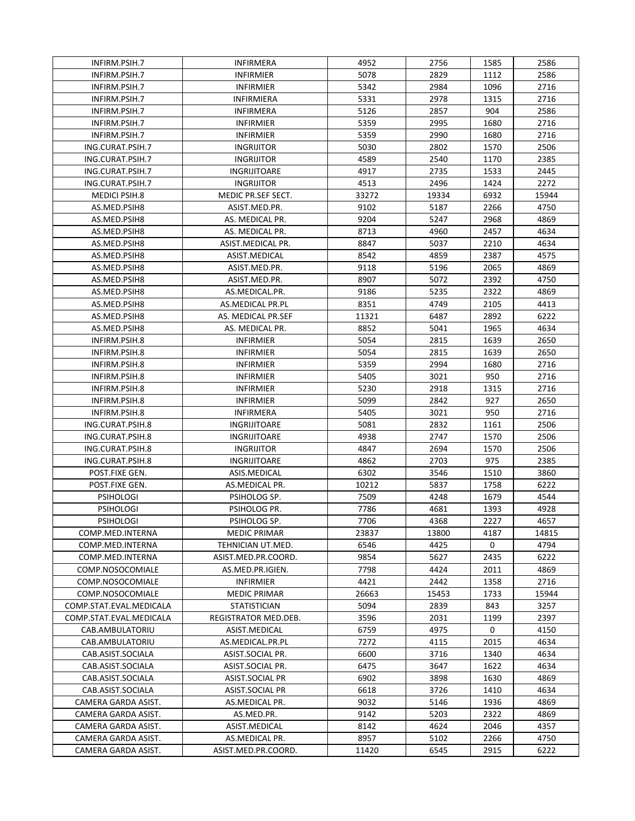| INFIRM.PSIH.7                  | <b>INFIRMERA</b>     | 4952  | 2756  | 1585 | 2586  |
|--------------------------------|----------------------|-------|-------|------|-------|
| INFIRM.PSIH.7                  | <b>INFIRMIER</b>     | 5078  | 2829  | 1112 | 2586  |
| INFIRM.PSIH.7                  | <b>INFIRMIER</b>     | 5342  | 2984  | 1096 | 2716  |
| INFIRM.PSIH.7                  | <b>INFIRMIERA</b>    | 5331  | 2978  | 1315 | 2716  |
| INFIRM.PSIH.7                  | INFIRMERA            | 5126  | 2857  | 904  | 2586  |
| INFIRM.PSIH.7                  | <b>INFIRMIER</b>     | 5359  | 2995  | 1680 | 2716  |
| INFIRM.PSIH.7                  | <b>INFIRMIER</b>     | 5359  | 2990  | 1680 | 2716  |
| ING.CURAT.PSIH.7               | <b>INGRIJITOR</b>    | 5030  | 2802  | 1570 | 2506  |
| ING.CURAT.PSIH.7               | <b>INGRIJITOR</b>    | 4589  | 2540  | 1170 | 2385  |
| ING.CURAT.PSIH.7               | <b>INGRIJITOARE</b>  | 4917  | 2735  | 1533 | 2445  |
| ING.CURAT.PSIH.7               | <b>INGRIJITOR</b>    | 4513  | 2496  | 1424 | 2272  |
| <b>MEDICI PSIH.8</b>           | MEDIC PR.SEF SECT.   | 33272 | 19334 | 6932 | 15944 |
| AS.MED.PSIH8                   | ASIST.MED.PR.        | 9102  | 5187  | 2266 | 4750  |
| AS.MED.PSIH8                   | AS. MEDICAL PR.      | 9204  | 5247  | 2968 | 4869  |
| AS.MED.PSIH8                   | AS. MEDICAL PR.      | 8713  | 4960  | 2457 | 4634  |
| AS.MED.PSIH8                   | ASIST.MEDICAL PR.    | 8847  | 5037  | 2210 | 4634  |
| AS.MED.PSIH8                   | ASIST.MEDICAL        | 8542  | 4859  | 2387 | 4575  |
| AS.MED.PSIH8                   | ASIST.MED.PR.        | 9118  | 5196  | 2065 | 4869  |
| AS.MED.PSIH8                   | ASIST.MED.PR.        | 8907  | 5072  | 2392 | 4750  |
| AS.MED.PSIH8                   | AS.MEDICAL.PR.       | 9186  | 5235  | 2322 | 4869  |
| AS.MED.PSIH8                   | AS.MEDICAL PR.PL     | 8351  | 4749  | 2105 | 4413  |
| AS.MED.PSIH8                   | AS. MEDICAL PR.SEF   | 11321 | 6487  | 2892 | 6222  |
| AS.MED.PSIH8                   | AS. MEDICAL PR.      | 8852  | 5041  | 1965 | 4634  |
| INFIRM.PSIH.8                  | <b>INFIRMIER</b>     | 5054  | 2815  | 1639 | 2650  |
| INFIRM.PSIH.8                  | <b>INFIRMIER</b>     | 5054  | 2815  | 1639 | 2650  |
| INFIRM.PSIH.8                  | <b>INFIRMIER</b>     | 5359  | 2994  | 1680 | 2716  |
|                                | <b>INFIRMIER</b>     | 5405  | 3021  | 950  | 2716  |
| INFIRM.PSIH.8<br>INFIRM.PSIH.8 | <b>INFIRMIER</b>     | 5230  | 2918  | 1315 | 2716  |
| INFIRM.PSIH.8                  | <b>INFIRMIER</b>     | 5099  | 2842  | 927  | 2650  |
|                                |                      | 5405  |       |      | 2716  |
| INFIRM.PSIH.8                  | <b>INFIRMERA</b>     | 5081  | 3021  | 950  | 2506  |
| ING.CURAT.PSIH.8               | <b>INGRIJITOARE</b>  |       | 2832  | 1161 |       |
| ING.CURAT.PSIH.8               | INGRIJITOARE         | 4938  | 2747  | 1570 | 2506  |
| ING.CURAT.PSIH.8               | INGRIJITOR           | 4847  | 2694  | 1570 | 2506  |
| ING.CURAT.PSIH.8               | <b>INGRIJITOARE</b>  | 4862  | 2703  | 975  | 2385  |
| POST.FIXE GEN.                 | ASIS.MEDICAL         | 6302  | 3546  | 1510 | 3860  |
| POST.FIXE GEN.                 | AS.MEDICAL PR.       | 10212 | 5837  | 1758 | 6222  |
| <b>PSIHOLOGI</b>               | PSIHOLOG SP.         | 7509  | 4248  | 1679 | 4544  |
| <b>PSIHOLOGI</b>               | PSIHOLOG PR.         | 7786  | 4681  | 1393 | 4928  |
| PSIHOLOGI                      | PSIHOLOG SP.         | 7706  | 4368  | 2227 | 4657  |
| COMP.MED.INTERNA               | MEDIC PRIMAR         | 23837 | 13800 | 4187 | 14815 |
| COMP.MED.INTERNA               | TEHNICIAN UT.MED.    | 6546  | 4425  | 0    | 4794  |
| COMP.MED.INTERNA               | ASIST.MED.PR.COORD.  | 9854  | 5627  | 2435 | 6222  |
| COMP.NOSOCOMIALE               | AS.MED.PR.IGIEN.     | 7798  | 4424  | 2011 | 4869  |
| COMP.NOSOCOMIALE               | <b>INFIRMIER</b>     | 4421  | 2442  | 1358 | 2716  |
| COMP.NOSOCOMIALE               | <b>MEDIC PRIMAR</b>  | 26663 | 15453 | 1733 | 15944 |
| COMP.STAT.EVAL.MEDICALA        | <b>STATISTICIAN</b>  | 5094  | 2839  | 843  | 3257  |
| COMP.STAT.EVAL.MEDICALA        | REGISTRATOR MED.DEB. | 3596  | 2031  | 1199 | 2397  |
| CAB.AMBULATORIU                | ASIST.MEDICAL        | 6759  | 4975  | 0    | 4150  |
| CAB.AMBULATORIU                | AS.MEDICAL.PR.PL     | 7272  | 4115  | 2015 | 4634  |
| CAB.ASIST.SOCIALA              | ASIST.SOCIAL PR.     | 6600  | 3716  | 1340 | 4634  |
| CAB.ASIST.SOCIALA              | ASIST.SOCIAL PR.     | 6475  | 3647  | 1622 | 4634  |
| CAB.ASIST.SOCIALA              | ASIST.SOCIAL PR      | 6902  | 3898  | 1630 | 4869  |
| CAB.ASIST.SOCIALA              | ASIST.SOCIAL PR      | 6618  | 3726  | 1410 | 4634  |
| CAMERA GARDA ASIST.            | AS.MEDICAL PR.       | 9032  | 5146  | 1936 | 4869  |
| CAMERA GARDA ASIST.            | AS.MED.PR.           | 9142  | 5203  | 2322 | 4869  |
| CAMERA GARDA ASIST.            | ASIST.MEDICAL        | 8142  | 4624  | 2046 | 4357  |
| CAMERA GARDA ASIST.            | AS.MEDICAL PR.       | 8957  | 5102  | 2266 | 4750  |
| CAMERA GARDA ASIST.            | ASIST.MED.PR.COORD.  | 11420 | 6545  | 2915 | 6222  |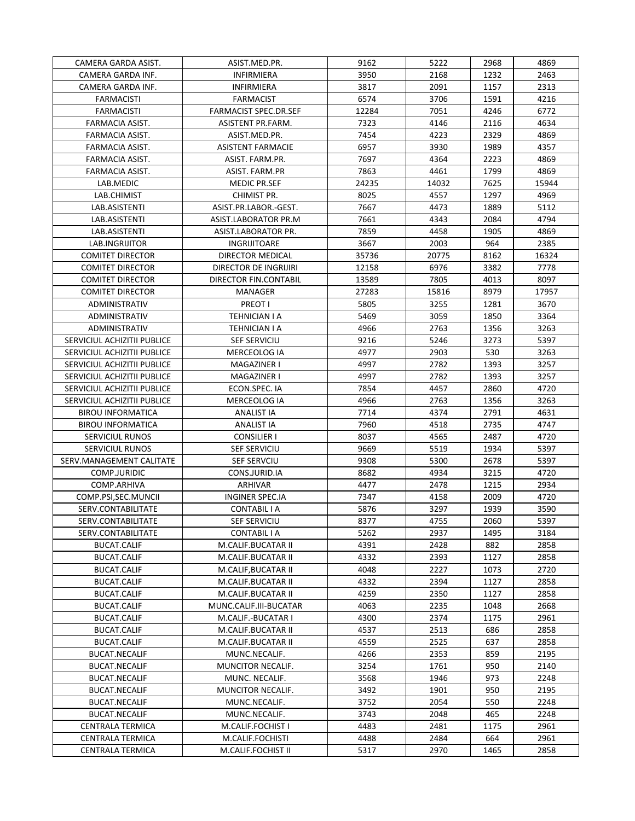| CAMERA GARDA ASIST.         | ASIST.MED.PR.                   | 9162  | 5222  | 2968 | 4869         |
|-----------------------------|---------------------------------|-------|-------|------|--------------|
| CAMERA GARDA INF.           | <b>INFIRMIERA</b>               | 3950  | 2168  | 1232 | 2463         |
| CAMERA GARDA INF.           | INFIRMIERA                      | 3817  | 2091  | 1157 | 2313         |
| <b>FARMACISTI</b>           | <b>FARMACIST</b>                | 6574  | 3706  | 1591 | 4216         |
| <b>FARMACISTI</b>           | <b>FARMACIST SPEC.DR.SEF</b>    | 12284 | 7051  | 4246 | 6772         |
| FARMACIA ASIST.             | ASISTENT PR.FARM.               | 7323  | 4146  | 2116 | 4634         |
| FARMACIA ASIST.             | ASIST.MED.PR.                   | 7454  | 4223  | 2329 | 4869         |
| FARMACIA ASIST.             | <b>ASISTENT FARMACIE</b>        | 6957  | 3930  | 1989 | 4357         |
| FARMACIA ASIST.             | ASIST. FARM.PR.                 | 7697  | 4364  | 2223 | 4869         |
| FARMACIA ASIST.             | ASIST. FARM.PR                  | 7863  | 4461  | 1799 | 4869         |
| LAB.MEDIC                   | MEDIC PR.SEF                    | 24235 | 14032 | 7625 | 15944        |
| LAB.CHIMIST                 | CHIMIST PR.                     | 8025  | 4557  | 1297 | 4969         |
| LAB.ASISTENTI               | ASIST.PR.LABOR.-GEST.           | 7667  | 4473  | 1889 | 5112         |
| LAB.ASISTENTI               | ASIST.LABORATOR PR.M            | 7661  | 4343  | 2084 | 4794         |
| LAB.ASISTENTI               | ASIST.LABORATOR PR.             | 7859  | 4458  | 1905 | 4869         |
| LAB.INGRIJITOR              | INGRIJITOARE                    | 3667  | 2003  | 964  | 2385         |
| <b>COMITET DIRECTOR</b>     | DIRECTOR MEDICAL                | 35736 | 20775 | 8162 | 16324        |
| <b>COMITET DIRECTOR</b>     | DIRECTOR DE INGRIJIRI           | 12158 | 6976  | 3382 | 7778         |
| <b>COMITET DIRECTOR</b>     | DIRECTOR FIN.CONTABIL           | 13589 | 7805  | 4013 | 8097         |
| <b>COMITET DIRECTOR</b>     | MANAGER                         | 27283 | 15816 | 8979 | 17957        |
| ADMINISTRATIV               | PREOT I                         | 5805  | 3255  | 1281 | 3670         |
| <b>ADMINISTRATIV</b>        | TEHNICIAN I A                   | 5469  | 3059  | 1850 | 3364         |
| ADMINISTRATIV               | TEHNICIAN I A                   | 4966  | 2763  | 1356 | 3263         |
| SERVICIUL ACHIZITII PUBLICE | SEF SERVICIU                    | 9216  | 5246  | 3273 | 5397         |
| SERVICIUL ACHIZITII PUBLICE | MERCEOLOG IA                    | 4977  | 2903  | 530  | 3263         |
| SERVICIUL ACHIZITII PUBLICE | MAGAZINER I                     | 4997  | 2782  | 1393 | 3257         |
|                             |                                 | 4997  | 2782  |      | 3257         |
| SERVICIUL ACHIZITII PUBLICE | MAGAZINER I                     |       | 4457  | 1393 |              |
| SERVICIUL ACHIZITII PUBLICE | ECON.SPEC. IA                   | 7854  |       | 2860 | 4720         |
| SERVICIUL ACHIZITII PUBLICE | MERCEOLOG IA                    | 4966  | 2763  | 1356 | 3263         |
| <b>BIROU INFORMATICA</b>    | ANALIST IA<br><b>ANALIST IA</b> | 7714  | 4374  | 2791 | 4631<br>4747 |
| <b>BIROU INFORMATICA</b>    |                                 | 7960  | 4518  | 2735 |              |
| <b>SERVICIUL RUNOS</b>      | <b>CONSILIER I</b>              | 8037  | 4565  | 2487 | 4720         |
| <b>SERVICIUL RUNOS</b>      | <b>SEF SERVICIU</b>             | 9669  | 5519  | 1934 | 5397         |
| SERV.MANAGEMENT CALITATE    | SEF SERVCIU                     | 9308  | 5300  | 2678 | 5397         |
| COMP.JURIDIC                | CONS.JURID.IA                   | 8682  | 4934  | 3215 | 4720         |
| COMP.ARHIVA                 | ARHIVAR                         | 4477  | 2478  | 1215 | 2934         |
| COMP.PSI, SEC. MUNCII       | <b>INGINER SPEC.IA</b>          | 7347  | 4158  | 2009 | 4720         |
| SERV.CONTABILITATE          | CONTABIL I A                    | 5876  | 3297  | 1939 | 3590         |
| SERV.CONTABILITATE          | SEF SERVICIU                    | 8377  | 4755  | 2060 | 5397         |
| SERV.CONTABILITATE          | CONTABIL I A                    | 5262  | 2937  | 1495 | 3184         |
| BUCAT.CALIF                 | M.CALIF.BUCATAR II              | 4391  | 2428  | 882  | 2858         |
| BUCAT.CALIF                 | M.CALIF.BUCATAR II              | 4332  | 2393  | 1127 | 2858         |
| BUCAT.CALIF                 | M.CALIF, BUCATAR II             | 4048  | 2227  | 1073 | 2720         |
| BUCAT.CALIF                 | M.CALIF.BUCATAR II              | 4332  | 2394  | 1127 | 2858         |
| BUCAT.CALIF                 | M.CALIF.BUCATAR II              | 4259  | 2350  | 1127 | 2858         |
| <b>BUCAT.CALIF</b>          | MUNC.CALIF.III-BUCATAR          | 4063  | 2235  | 1048 | 2668         |
| BUCAT.CALIF                 | M.CALIF.-BUCATAR I              | 4300  | 2374  | 1175 | 2961         |
| BUCAT.CALIF                 | M.CALIF.BUCATAR II              | 4537  | 2513  | 686  | 2858         |
| BUCAT.CALIF                 | M.CALIF.BUCATAR II              | 4559  | 2525  | 637  | 2858         |
| BUCAT.NECALIF               | MUNC.NECALIF.                   | 4266  | 2353  | 859  | 2195         |
| BUCAT.NECALIF               | MUNCITOR NECALIF.               | 3254  | 1761  | 950  | 2140         |
| BUCAT.NECALIF               | MUNC. NECALIF.                  | 3568  | 1946  | 973  | 2248         |
| BUCAT.NECALIF               | MUNCITOR NECALIF.               | 3492  | 1901  | 950  | 2195         |
| BUCAT.NECALIF               | MUNC.NECALIF.                   | 3752  | 2054  | 550  | 2248         |
| <b>BUCAT.NECALIF</b>        | MUNC.NECALIF.                   | 3743  | 2048  | 465  | 2248         |
| CENTRALA TERMICA            | M.CALIF.FOCHIST I               | 4483  | 2481  | 1175 | 2961         |
| CENTRALA TERMICA            | M.CALIF.FOCHISTI                | 4488  | 2484  | 664  | 2961         |
| <b>CENTRALA TERMICA</b>     | M.CALIF.FOCHIST II              | 5317  | 2970  | 1465 | 2858         |